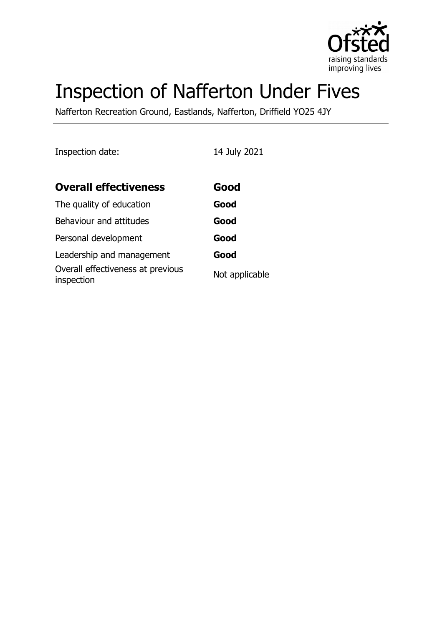

# Inspection of Nafferton Under Fives

Nafferton Recreation Ground, Eastlands, Nafferton, Driffield YO25 4JY

Inspection date: 14 July 2021

| <b>Overall effectiveness</b>                    | Good           |
|-------------------------------------------------|----------------|
| The quality of education                        | Good           |
| Behaviour and attitudes                         | Good           |
| Personal development                            | Good           |
| Leadership and management                       | Good           |
| Overall effectiveness at previous<br>inspection | Not applicable |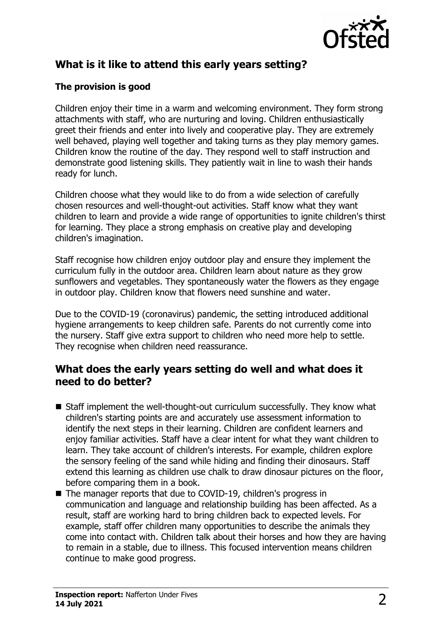

# **What is it like to attend this early years setting?**

#### **The provision is good**

Children enjoy their time in a warm and welcoming environment. They form strong attachments with staff, who are nurturing and loving. Children enthusiastically greet their friends and enter into lively and cooperative play. They are extremely well behaved, playing well together and taking turns as they play memory games. Children know the routine of the day. They respond well to staff instruction and demonstrate good listening skills. They patiently wait in line to wash their hands ready for lunch.

Children choose what they would like to do from a wide selection of carefully chosen resources and well-thought-out activities. Staff know what they want children to learn and provide a wide range of opportunities to ignite children's thirst for learning. They place a strong emphasis on creative play and developing children's imagination.

Staff recognise how children enjoy outdoor play and ensure they implement the curriculum fully in the outdoor area. Children learn about nature as they grow sunflowers and vegetables. They spontaneously water the flowers as they engage in outdoor play. Children know that flowers need sunshine and water.

Due to the COVID-19 (coronavirus) pandemic, the setting introduced additional hygiene arrangements to keep children safe. Parents do not currently come into the nursery. Staff give extra support to children who need more help to settle. They recognise when children need reassurance.

## **What does the early years setting do well and what does it need to do better?**

- $\blacksquare$  Staff implement the well-thought-out curriculum successfully. They know what children's starting points are and accurately use assessment information to identify the next steps in their learning. Children are confident learners and enjoy familiar activities. Staff have a clear intent for what they want children to learn. They take account of children's interests. For example, children explore the sensory feeling of the sand while hiding and finding their dinosaurs. Staff extend this learning as children use chalk to draw dinosaur pictures on the floor, before comparing them in a book.
- The manager reports that due to COVID-19, children's progress in communication and language and relationship building has been affected. As a result, staff are working hard to bring children back to expected levels. For example, staff offer children many opportunities to describe the animals they come into contact with. Children talk about their horses and how they are having to remain in a stable, due to illness. This focused intervention means children continue to make good progress.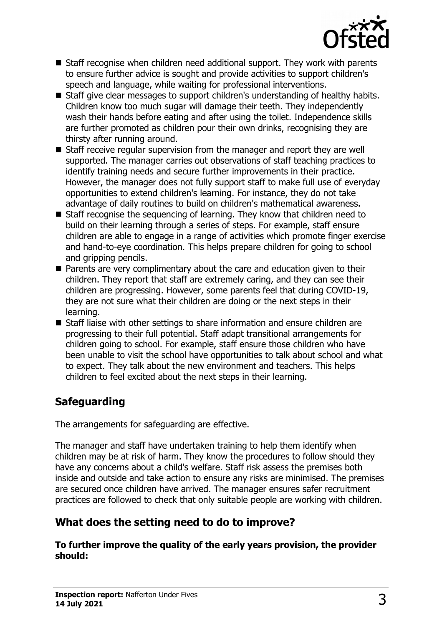

- $\blacksquare$  Staff recognise when children need additional support. They work with parents to ensure further advice is sought and provide activities to support children's speech and language, while waiting for professional interventions.
- Staff give clear messages to support children's understanding of healthy habits. Children know too much sugar will damage their teeth. They independently wash their hands before eating and after using the toilet. Independence skills are further promoted as children pour their own drinks, recognising they are thirsty after running around.
- Staff receive regular supervision from the manager and report they are well supported. The manager carries out observations of staff teaching practices to identify training needs and secure further improvements in their practice. However, the manager does not fully support staff to make full use of everyday opportunities to extend children's learning. For instance, they do not take advantage of daily routines to build on children's mathematical awareness.
- $\blacksquare$  Staff recognise the sequencing of learning. They know that children need to build on their learning through a series of steps. For example, staff ensure children are able to engage in a range of activities which promote finger exercise and hand-to-eye coordination. This helps prepare children for going to school and gripping pencils.
- **n** Parents are very complimentary about the care and education given to their children. They report that staff are extremely caring, and they can see their children are progressing. However, some parents feel that during COVID-19, they are not sure what their children are doing or the next steps in their learning.
- $\blacksquare$  Staff liaise with other settings to share information and ensure children are progressing to their full potential. Staff adapt transitional arrangements for children going to school. For example, staff ensure those children who have been unable to visit the school have opportunities to talk about school and what to expect. They talk about the new environment and teachers. This helps children to feel excited about the next steps in their learning.

# **Safeguarding**

The arrangements for safeguarding are effective.

The manager and staff have undertaken training to help them identify when children may be at risk of harm. They know the procedures to follow should they have any concerns about a child's welfare. Staff risk assess the premises both inside and outside and take action to ensure any risks are minimised. The premises are secured once children have arrived. The manager ensures safer recruitment practices are followed to check that only suitable people are working with children.

# **What does the setting need to do to improve?**

**To further improve the quality of the early years provision, the provider should:**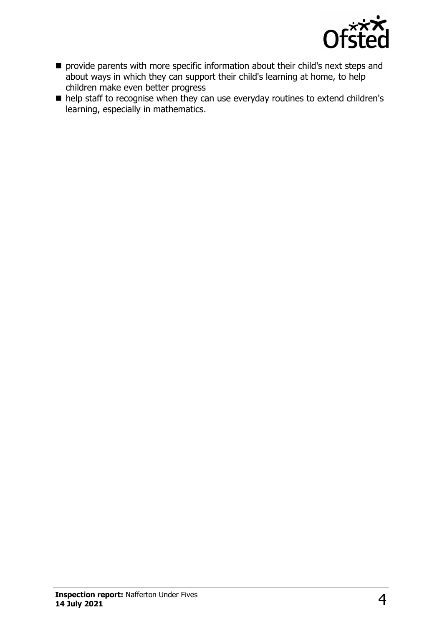

- **n** provide parents with more specific information about their child's next steps and about ways in which they can support their child's learning at home, to help children make even better progress
- help staff to recognise when they can use everyday routines to extend children's learning, especially in mathematics.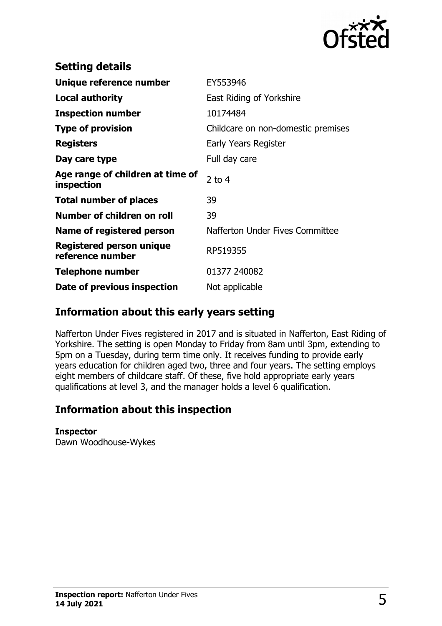

| <b>Setting details</b>                         |                                    |
|------------------------------------------------|------------------------------------|
| Unique reference number                        | EY553946                           |
| Local authority                                | East Riding of Yorkshire           |
| <b>Inspection number</b>                       | 10174484                           |
| <b>Type of provision</b>                       | Childcare on non-domestic premises |
| <b>Registers</b>                               | Early Years Register               |
| Day care type                                  | Full day care                      |
| Age range of children at time of<br>inspection | 2 to $4$                           |
| <b>Total number of places</b>                  | 39                                 |
| Number of children on roll                     | 39                                 |
| Name of registered person                      | Nafferton Under Fives Committee    |
| Registered person unique<br>reference number   | RP519355                           |
| <b>Telephone number</b>                        | 01377 240082                       |
| Date of previous inspection                    | Not applicable                     |

## **Information about this early years setting**

Nafferton Under Fives registered in 2017 and is situated in Nafferton, East Riding of Yorkshire. The setting is open Monday to Friday from 8am until 3pm, extending to 5pm on a Tuesday, during term time only. It receives funding to provide early years education for children aged two, three and four years. The setting employs eight members of childcare staff. Of these, five hold appropriate early years qualifications at level 3, and the manager holds a level 6 qualification.

## **Information about this inspection**

#### **Inspector**

Dawn Woodhouse-Wykes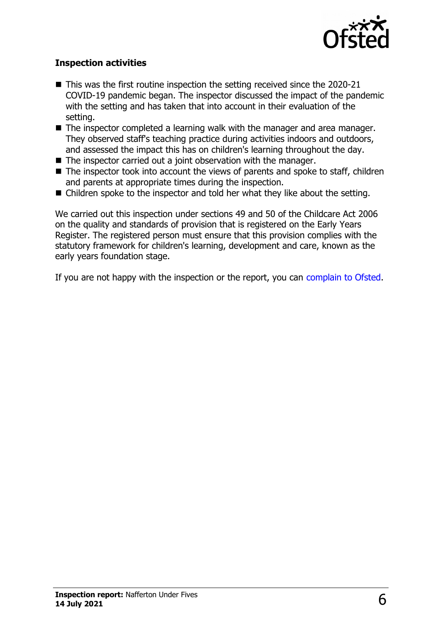

#### **Inspection activities**

- $\blacksquare$  This was the first routine inspection the setting received since the 2020-21 COVID-19 pandemic began. The inspector discussed the impact of the pandemic with the setting and has taken that into account in their evaluation of the setting.
- $\blacksquare$  The inspector completed a learning walk with the manager and area manager. They observed staff's teaching practice during activities indoors and outdoors, and assessed the impact this has on children's learning throughout the day.
- $\blacksquare$  The inspector carried out a joint observation with the manager.
- $\blacksquare$  The inspector took into account the views of parents and spoke to staff, children and parents at appropriate times during the inspection.
- $\blacksquare$  Children spoke to the inspector and told her what they like about the setting.

We carried out this inspection under sections 49 and 50 of the Childcare Act 2006 on the quality and standards of provision that is registered on the Early Years Register. The registered person must ensure that this provision complies with the statutory framework for children's learning, development and care, known as the early years foundation stage.

If you are not happy with the inspection or the report, you can [complain to Ofsted.](http://www.gov.uk/complain-ofsted-report)